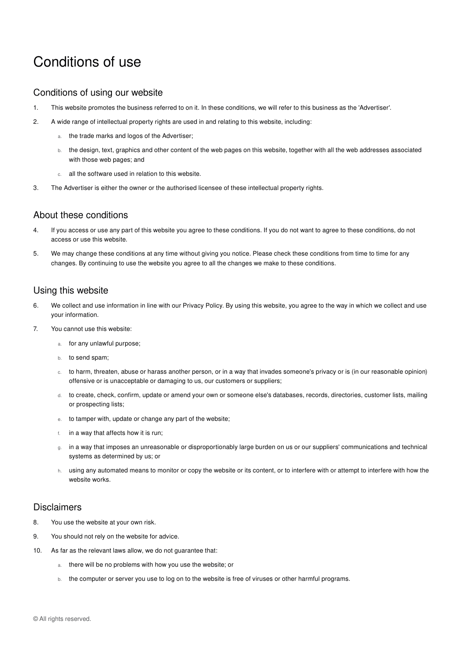# Conditions of use

#### Conditions of using our website

- 1. This website promotes the business referred to on it. In these conditions, we will refer to this business as the 'Advertiser'.
- 2. A wide range of intellectual property rights are used in and relating to this website, including:
	- a. the trade marks and logos of the Advertiser;
	- b. the design, text, graphics and other content of the web pages on this website, together with all the web addresses associated with those web pages; and
	- c. all the software used in relation to this website.
- 3. The Advertiser is either the owner or the authorised licensee of these intellectual property rights.

## About these conditions

- 4. If you access or use any part of this website you agree to these conditions. If you do not want to agree to these conditions, do not access or use this website.
- 5. We may change these conditions at any time without giving you notice. Please check these conditions from time to time for any changes. By continuing to use the website you agree to all the changes we make to these conditions.

## Using this website

- 6. We collect and use information in line with our Privacy Policy. By using this website, you agree to the way in which we collect and use your information.
- 7. You cannot use this website:
	- a. for any unlawful purpose;
	- b. to send spam;
	- c. to harm, threaten, abuse or harass another person, or in a way that invades someone's privacy or is (in our reasonable opinion) offensive or is unacceptable or damaging to us, our customers or suppliers;
	- d. to create, check, confirm, update or amend your own or someone else's databases, records, directories, customer lists, mailing or prospecting lists;
	- e. to tamper with, update or change any part of the website;
	- f. in a way that affects how it is run;
	- g. in a way that imposes an unreasonable or disproportionably large burden on us or our suppliers' communications and technical systems as determined by us; or
	- h. using any automated means to monitor or copy the website or its content, or to interfere with or attempt to interfere with how the website works.

#### **Disclaimers**

- 8. You use the website at your own risk.
- 9. You should not rely on the website for advice.
- 10. As far as the relevant laws allow, we do not guarantee that:
	- a. there will be no problems with how you use the website; or
	- b. the computer or server you use to log on to the website is free of viruses or other harmful programs.